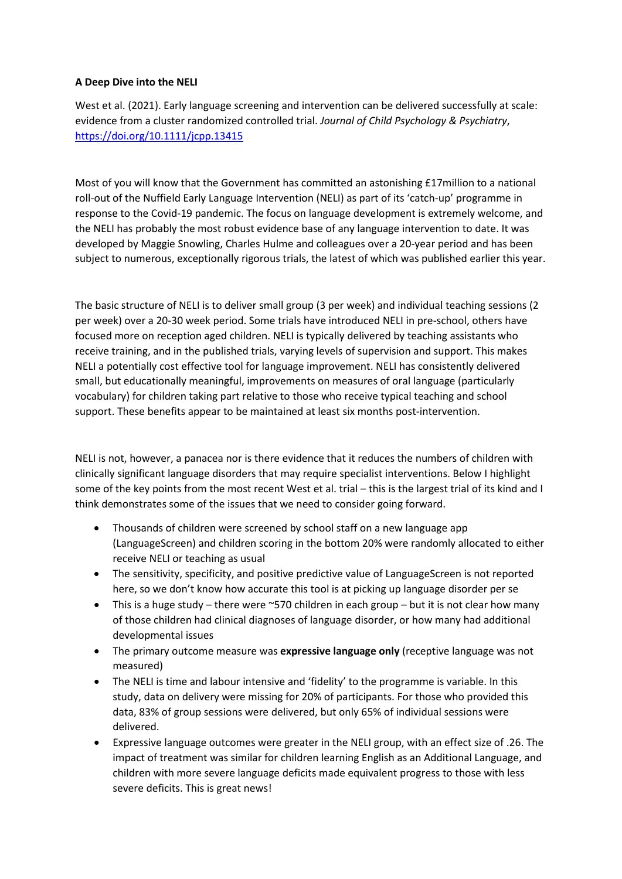## **A Deep Dive into the NELI**

West et al. (2021). Early language screening and intervention can be delivered successfully at scale: evidence from a cluster randomized controlled trial. *Journal of Child Psychology & Psychiatry*, <https://doi.org/10.1111/jcpp.13415>

Most of you will know that the Government has committed an astonishing £17million to a national roll-out of the Nuffield Early Language Intervention (NELI) as part of its 'catch-up' programme in response to the Covid-19 pandemic. The focus on language development is extremely welcome, and the NELI has probably the most robust evidence base of any language intervention to date. It was developed by Maggie Snowling, Charles Hulme and colleagues over a 20-year period and has been subject to numerous, exceptionally rigorous trials, the latest of which was published earlier this year.

The basic structure of NELI is to deliver small group (3 per week) and individual teaching sessions (2 per week) over a 20-30 week period. Some trials have introduced NELI in pre-school, others have focused more on reception aged children. NELI is typically delivered by teaching assistants who receive training, and in the published trials, varying levels of supervision and support. This makes NELI a potentially cost effective tool for language improvement. NELI has consistently delivered small, but educationally meaningful, improvements on measures of oral language (particularly vocabulary) for children taking part relative to those who receive typical teaching and school support. These benefits appear to be maintained at least six months post-intervention.

NELI is not, however, a panacea nor is there evidence that it reduces the numbers of children with clinically significant language disorders that may require specialist interventions. Below I highlight some of the key points from the most recent West et al. trial – this is the largest trial of its kind and I think demonstrates some of the issues that we need to consider going forward.

- Thousands of children were screened by school staff on a new language app (LanguageScreen) and children scoring in the bottom 20% were randomly allocated to either receive NELI or teaching as usual
- The sensitivity, specificity, and positive predictive value of LanguageScreen is not reported here, so we don't know how accurate this tool is at picking up language disorder per se
- This is a huge study there were  $\sim$  570 children in each group but it is not clear how many of those children had clinical diagnoses of language disorder, or how many had additional developmental issues
- The primary outcome measure was **expressive language only** (receptive language was not measured)
- The NELI is time and labour intensive and 'fidelity' to the programme is variable. In this study, data on delivery were missing for 20% of participants. For those who provided this data, 83% of group sessions were delivered, but only 65% of individual sessions were delivered.
- Expressive language outcomes were greater in the NELI group, with an effect size of .26. The impact of treatment was similar for children learning English as an Additional Language, and children with more severe language deficits made equivalent progress to those with less severe deficits. This is great news!